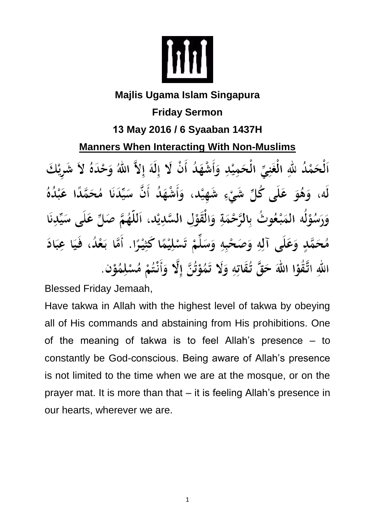

## **Majlis Ugama Islam Singapura Friday Sermon 13 May 2016 / 6 Syaaban 1437H Manners When Interacting With Non-Muslims** اَلْحَمْدُ للَّهِ الْغَنِيِّ الْحَمِيْدِ وَأَشْهَدُ أَنْ لَا إِلَهَ إِلاَّ اللَّهُ وَحْدَهُ لاَ شَرِيْكَ لَه، وَهُوَ عَلَى كُلِّ شَيْءٍ شَهِيْد، وَأَشْهَدُ أَنَّ سَيِّدَنَا مُحَمَّدًا عَبْدُهُ وَرَسُوْلُه المَبْعُوتُ بِالرَّحْمَةِ وَالْقَوْلِ السَّدِيْد، اَللَّهُمَّ صَلِّ عَلَى سَيِّدِنَا مُحَمَّدٍ وَعَلَى آلِهِ وَصَحْبِهِ وَسَلِّمْ تَسْلِيْمًا كَثِيْرًا. أَمَّا بَعْدُ، فَيَا عِبَادَ اللهِ اتَّقُوْا اللهَ حَقَّ تُقَاتِهِ وَلَا تَمُوْتُنَّ إِلَّا وَأَنْتُمْ مُسْلِمُوْنٍ.

Blessed Friday Jemaah,

Have takwa in Allah with the highest level of takwa by obeying all of His commands and abstaining from His prohibitions. One of the meaning of takwa is to feel Allah's presence – to constantly be God-conscious. Being aware of Allah's presence is not limited to the time when we are at the mosque, or on the prayer mat. It is more than that – it is feeling Allah's presence in our hearts, wherever we are.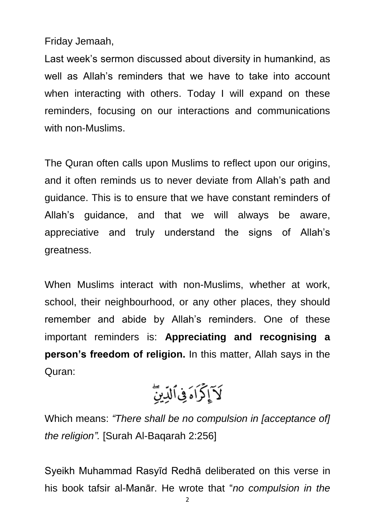Friday Jemaah,

Last week's sermon discussed about diversity in humankind, as well as Allah's reminders that we have to take into account when interacting with others. Today I will expand on these reminders, focusing on our interactions and communications with non-Muslims.

The Quran often calls upon Muslims to reflect upon our origins, and it often reminds us to never deviate from Allah's path and guidance. This is to ensure that we have constant reminders of Allah's guidance, and that we will always be aware, appreciative and truly understand the signs of Allah's greatness.

When Muslims interact with non-Muslims, whether at work, school, their neighbourhood, or any other places, they should remember and abide by Allah's reminders. One of these important reminders is: **Appreciating and recognising a person's freedom of religion.** In this matter, Allah says in the Quran:

$$
\widehat{Y}_{\frac{3}{2}}\widehat{\zeta}_{1}\widehat{\delta}_{\frac{3}{2}}\widehat{U}_{\frac{1}{2}}\widehat{\omega}_{2}
$$

Which means: *"There shall be no compulsion in [acceptance of] the religion".* [Surah Al-Baqarah 2:256]

Syeikh Muhammad Rasyīd Redhā deliberated on this verse in his book tafsir al-Manār. He wrote that "*no compulsion in the*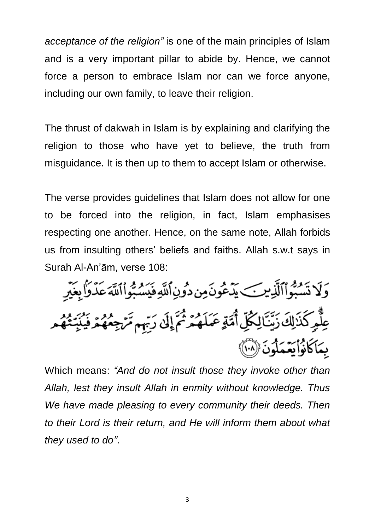*acceptance of the religion"* is one of the main principles of Islam and is a very important pillar to abide by. Hence, we cannot force a person to embrace Islam nor can we force anyone, including our own family, to leave their religion.

The thrust of dakwah in Islam is by explaining and clarifying the religion to those who have yet to believe, the truth from misguidance. It is then up to them to accept Islam or otherwise.

The verse provides guidelines that Islam does not allow for one to be forced into the religion, in fact, Islam emphasises respecting one another. Hence, on the same note, Allah forbids us from insulting others' beliefs and faiths. Allah s.w.t says in Surah Al-An'ām, verse 108:

وَلَا تَسْبُواْٱلَّذِينَكِ يَدْعُونَ مِن دُونِٱللَّهِ فَيَسْبُواْٱللَّهَ عَدَّرَاْ بِغَيْرِ عِلَّمِ كَذَلِكَ زَيِّنَالِكُلِّ أُمَّةٍ عَمَلَهُمْ ثُمَّ إِلَىٰ رَبِّهِم مَّرْجِعُهُمُ فَيُنَبِّثُهُم بِمَاكَانُوْاْيَعْمَلُونَ (١٠٠)

Which means: *"And do not insult those they invoke other than Allah, lest they insult Allah in enmity without knowledge. Thus We have made pleasing to every community their deeds. Then to their Lord is their return, and He will inform them about what they used to do"*.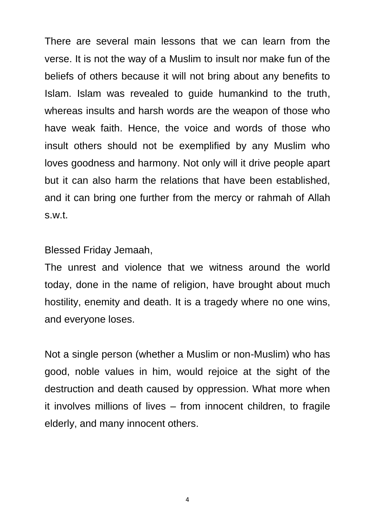There are several main lessons that we can learn from the verse. It is not the way of a Muslim to insult nor make fun of the beliefs of others because it will not bring about any benefits to Islam. Islam was revealed to guide humankind to the truth, whereas insults and harsh words are the weapon of those who have weak faith. Hence, the voice and words of those who insult others should not be exemplified by any Muslim who loves goodness and harmony. Not only will it drive people apart but it can also harm the relations that have been established, and it can bring one further from the mercy or rahmah of Allah s.w.t.

Blessed Friday Jemaah,

The unrest and violence that we witness around the world today, done in the name of religion, have brought about much hostility, enemity and death. It is a tragedy where no one wins, and everyone loses.

Not a single person (whether a Muslim or non-Muslim) who has good, noble values in him, would rejoice at the sight of the destruction and death caused by oppression. What more when it involves millions of lives – from innocent children, to fragile elderly, and many innocent others.

4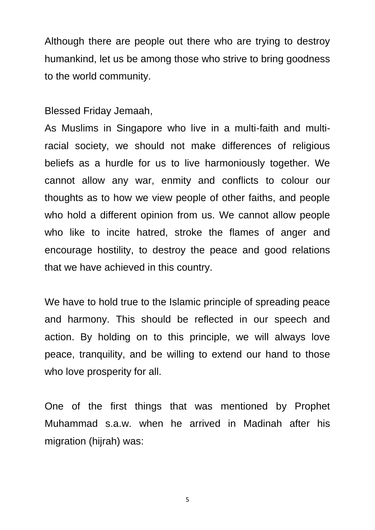Although there are people out there who are trying to destroy humankind, let us be among those who strive to bring goodness to the world community.

Blessed Friday Jemaah,

As Muslims in Singapore who live in a multi-faith and multiracial society, we should not make differences of religious beliefs as a hurdle for us to live harmoniously together. We cannot allow any war, enmity and conflicts to colour our thoughts as to how we view people of other faiths, and people who hold a different opinion from us. We cannot allow people who like to incite hatred, stroke the flames of anger and encourage hostility, to destroy the peace and good relations that we have achieved in this country.

We have to hold true to the Islamic principle of spreading peace and harmony. This should be reflected in our speech and action. By holding on to this principle, we will always love peace, tranquility, and be willing to extend our hand to those who love prosperity for all.

One of the first things that was mentioned by Prophet Muhammad s.a.w. when he arrived in Madinah after his migration (hijrah) was:

5